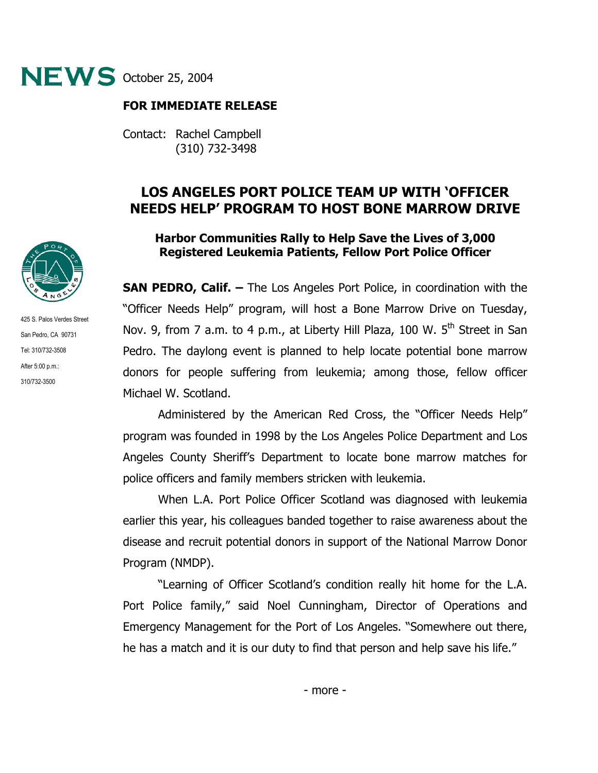

## **FOR IMMEDIATE RELEASE**

Contact: Rachel Campbell (310) 732-3498

## **LOS ANGELES PORT POLICE TEAM UP WITH 'OFFICER NEEDS HELP' PROGRAM TO HOST BONE MARROW DRIVE**

## **Harbor Communities Rally to Help Save the Lives of 3,000 Registered Leukemia Patients, Fellow Port Police Officer**

**SAN PEDRO, Calif. –** The Los Angeles Port Police, in coordination with the "Officer Needs Help" program, will host a Bone Marrow Drive on Tuesday, Nov. 9, from 7 a.m. to 4 p.m., at Liberty Hill Plaza, 100 W. 5<sup>th</sup> Street in San Pedro. The daylong event is planned to help locate potential bone marrow donors for people suffering from leukemia; among those, fellow officer Michael W. Scotland.

Administered by the American Red Cross, the "Officer Needs Help" program was founded in 1998 by the Los Angeles Police Department and Los Angeles County Sheriff's Department to locate bone marrow matches for police officers and family members stricken with leukemia.

When L.A. Port Police Officer Scotland was diagnosed with leukemia earlier this year, his colleagues banded together to raise awareness about the disease and recruit potential donors in support of the National Marrow Donor Program (NMDP).

"Learning of Officer Scotland's condition really hit home for the L.A. Port Police family," said Noel Cunningham, Director of Operations and Emergency Management for the Port of Los Angeles. "Somewhere out there, he has a match and it is our duty to find that person and help save his life."



425 S. Palos Verdes Street San Pedro, CA 90731 Tel: 310/732-3508 After 5:00 p.m.: 310/732-3500